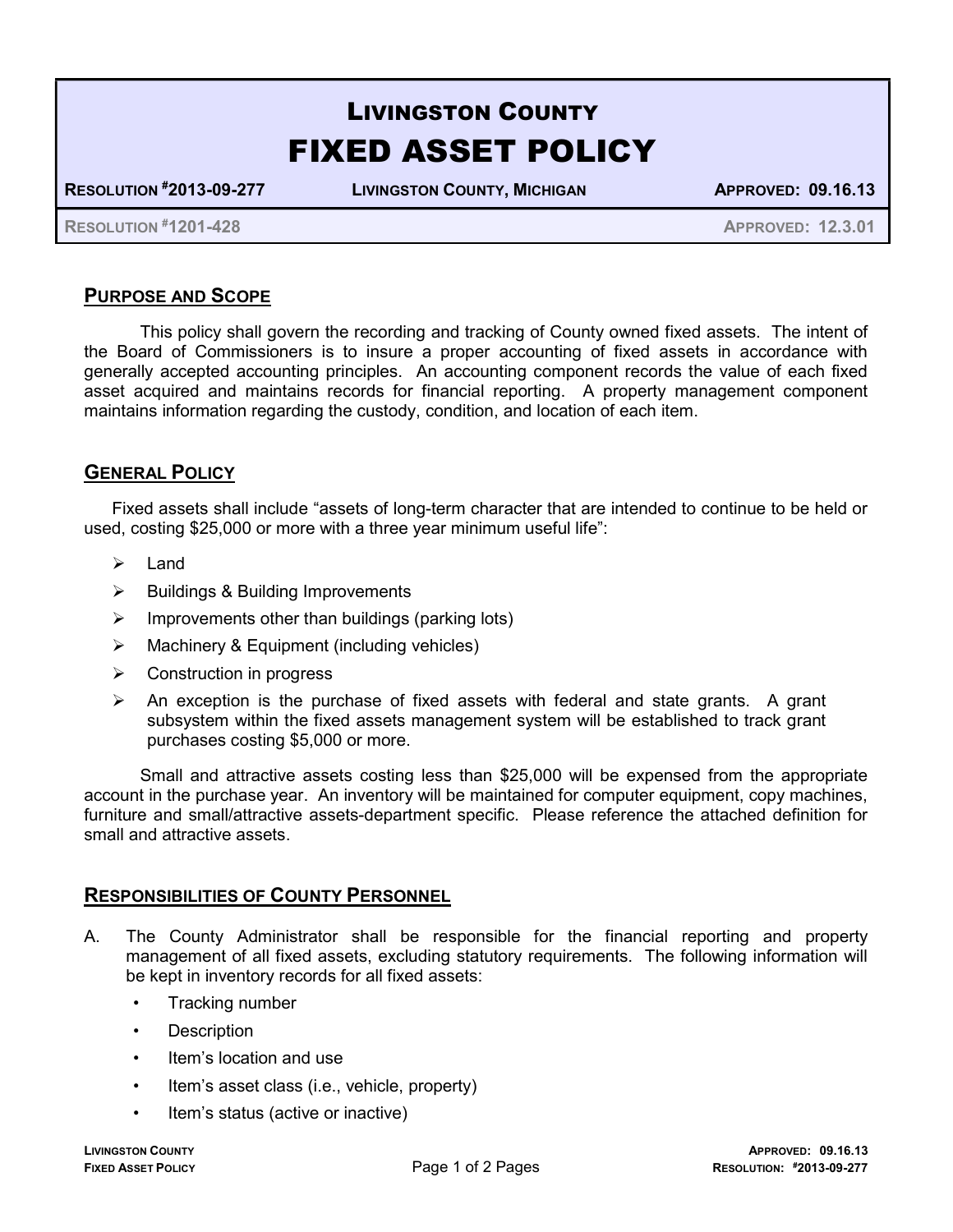# LIVINGSTON COUNTY FIXED ASSET POLICY

RESOLUTION #2013-09-277 LIVINGSTON COUNTY, MICHIGAN APPROVED: 09.16.13

RESOLUTION #1201-428 APPROVED: 12.3.01

## PURPOSE AND SCOPE

 This policy shall govern the recording and tracking of County owned fixed assets. The intent of the Board of Commissioners is to insure a proper accounting of fixed assets in accordance with generally accepted accounting principles. An accounting component records the value of each fixed asset acquired and maintains records for financial reporting. A property management component maintains information regarding the custody, condition, and location of each item.

### GENERAL POLICY

Fixed assets shall include "assets of long-term character that are intended to continue to be held or used, costing \$25,000 or more with a three year minimum useful life":

- $\blacktriangleright$  Land
- $\triangleright$  Buildings & Building Improvements
- $\triangleright$  Improvements other than buildings (parking lots)
- $\triangleright$  Machinery & Equipment (including vehicles)
- $\triangleright$  Construction in progress
- $\triangleright$  An exception is the purchase of fixed assets with federal and state grants. A grant subsystem within the fixed assets management system will be established to track grant purchases costing \$5,000 or more.

 Small and attractive assets costing less than \$25,000 will be expensed from the appropriate account in the purchase year. An inventory will be maintained for computer equipment, copy machines, furniture and small/attractive assets-department specific. Please reference the attached definition for small and attractive assets.

#### RESPONSIBILITIES OF COUNTY PERSONNEL

- A. The County Administrator shall be responsible for the financial reporting and property management of all fixed assets, excluding statutory requirements. The following information will be kept in inventory records for all fixed assets:
	- Tracking number
	- Description
	- Item's location and use
	- Item's asset class (i.e., vehicle, property)
	- Item's status (active or inactive)